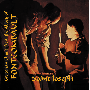# regorian Chant from the Abbey of Gregorian Chant from the Abbey of FONTGOMBAULT ONTGOMBAVL

# osep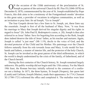ON the occasion of the 150th anniversary of the proclamation of St.<br>Joseph as patron of the universal Church by Bl. Pius IX (1846-1878) on December 8, 1870, commemorated by the year of St. Joseph established by Pope Francis, this disk aims to be a testimony of the Fontgombault monks' devotion to this great saint, a provider of vocations in religious communities, as well as an invitation to pray him: *Ite ad Ioseph*, "Go to Joseph".

The four Gospels devote but a few lines to St. Joseph, yet, these lines say the essentials. Joseph is first of all the husband of Mary. Now, "it was from his marriage to Mary that Joseph derived his singular dignity and his rights in regard to Jesus" (St. John Paul II, *Redemptoris custos*, n. 20). Joseph is thus also referred to as Jesus' father. Save for begetting him according to the flesh, Joseph does indeed deserve the title of Jesus' father, as his teacher and nurturer. Again, Joseph is called "a just man" (Mt 1:19), docile to the voice of God, and the devoted protector of the Child and his Mother. His patronage over the Church follows naturally from his role towards Jesus and Mary. A role model for husbands and fathers, a master of interior life, and the protector of the holy Church, St. Joseph can be invoked as the great patron of the third millennium, in which the world is deeply undermined by the crisis of the family, of fatherhood, and of the Church herself.

During the first centuries of the Church history, St. Joseph remained largely unknown. His public worship did not begin until the 15th century. For the March 19th feast, the Roman breviary initially referred to the common of a confessor not a bishop. In 1671, the three hymns, *Te Ioseph* (Vespers), *Iste quem læti* (Lauds) and *Cælitum, Ioseph* (Matins), made their appearance. In 1714, Clement XI (1700-1721) reformed the office and completed it. The melodies were later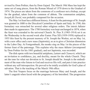revised by Dom Pothier, then by Dom Gajard. The March 19th Mass has kept the same set of sung pieces, from the Roman Missal of 1570 down to the Gradual of 1974. The pieces are taken from the commons of a confessor not a bishop, except for the gradual, taken from the common of abbots. The communion antiphon, *Ioseph fili David*, was probably composed for the occasion.

The May 1st feast has a different history. A feast for the patronage of St. Joseph was granted in 1680 to the Discalced Carmelites of Spain and Italy. In 1700, this formulary was retouched for several other religious orders. The introit *Adiutor* then made its appearance. The 1700 formulary was kept unchanged in 1874, when the feast was extended to the universal Church. St. Pius X (1903-1914) set it on the Wednesday in the second week after Easter. Pius XII (1939-1958) replaced in 1955 this feast by the present memory of St. Joseph the Worker, set on May 1st, with a new office and a new mass (*Sapientia*), so as to give a Christian dimension to the Labor Day. At Fontgombault, the monks sing on May 1st the pieces of the former feast of the patronage. This explains why the mass *Adiutor* (recomposed by Dom Pothier for his 1883 gradual), and not *Sapientia*, was recorded.

The disk opens with two beautiful antiphons, *Lætare* and *Clamavit*, which are an invitation to confidence, joy, and docility, meant for the whole Church. They set the tone for what our devotion to St. Joseph should be. Joseph is the embodiment of the man who listens to God and receives His will, and puts it into practice without any self-introspection. He proved to be totally available for God's plan of salvation. That is the teaching of the March 19th office.

The first Vespers focus on the marriage between Mary and Joseph, and the latter's anguish when faced with the pregnancy of his betrothed. The progression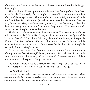of the antiphons keeps us spellbound as to the outcome, disclosed by the Magnificat antiphon.

The antiphons of Lauds present the episode of the finding of the Child Jesus in the Temple. The melody of each antiphon successfully conveys the atmosphere of each of the Gospel scenes. The word *dolentes* is especially emphasised in the fourth antiphon, *Dixit Mater eius* (as well as in the two other pieces with the same text). Joseph and Mary were "devoured by sorrow", as the Gospel says. Likewise, the expression *quærebamus te* is fraught with deep concern. The mass is a meditative praise of Joseph's personal holiness.

The May 1st office meditates on the same themes. The mass is more effusive in its praise than the March 19th Mass, and it insists more on the figure of the Protector, first of all God himself (Introit), then in God's image, St. Joseph (the Alleluia). The disk concludes with an antiphon to the praise of St. Joseph, and the response *Iam lætus moriar*, the words addressed by Jacob to his son Joseph the patriarch, figure of Mary's spouse.

Except for the pieces taken from the commons, and the Benedictus antiphon of the patronage feast (*Ioseph fili David*), the Gregorian melodies of both of St. Joseph's feasts are rather recent, and yet not devoid of interest, and most of them remain attuned to the spirit of Gregorian chant.

**1.** Organ : Marc-Antoine Charpentier (1643-1704), *Noéls pour les instruments, Joseph est bien marié*, *(Joseph is well married)* H. 534 [3]

#### **2.** Antiphon *Lætare*

*Lætáre, \* alma mater Ecclésia: sancti Ioseph sponsi Maríæ adsunt sollémnia; tanti protectóris lætáre méritis, lætáre patrocínio; cuius gloriósæ preces et pia suffrágia nos tueántur semper, ac ducant ad cæléstia.*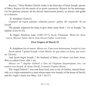Rejoice, \* Holy Mother Church: today is the feast day of Saint Joseph, spouse of Mary. Rejoice for the merits of so great a protector. Rejoice for his patronage. Let his glorious prayers ad his devout intercession protect us always and guide us to heaven.

#### **3.** Antiphon *Clamavit*

*Clamávit ad regem pópulus, aliménta petens; quibus ille respóndit: Ite ad Ioseph.*

The people implored the king to give them some food; " Go to Joseph," he replied. (Gen 41:55)

**4.** Organ: Henricus Isaac (1445-1517), *Ecole Flamande, Motet for three voices, Stiesser Vatter, Herre Gott (Sweet Father, Lord God).*

# **First Vespers of March 19**

**5.** Antiphons *Iacob autem, Missus est, Cum esset desponsata, Ioseph vir eius Iacob autem \* génuit Ioseph, virum Maríæ, de qua natus est Iesus, qui vocátur Christus.*

And Jacob begot Joseph \* the husband of Mary, of whom was born Jesus, Who is called Christ. (Mt 1:16)

*Missus est \* Angelus Gábriel a Deo ad Vírginem desponsátam viro, cui nomen erat Ioseph, de domo David, et nomen Vírginis María.*

The Angel Gabriel \* was sent from God, unto a city of Galilee, named Nazareth, to a virgin espoused to a man whose name was Joseph, of the house of David, and the virgin's name was Mary. (Lk 1:26-27)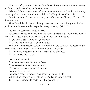*Cum esset desponsáta \* Mater Iesu María Ioseph, ántequam convenírent, invénta est in útero habens de Spíritu Sancto.* 

When as Mary \* the mother of Jesus, was espoused to Joseph, before they came together, she was found with child, of the Holy Ghost. (Mt 1:18)

*Ioseph vir eius, \* cum esset iustus, et nollet eam tradúcere, vóluit occúlte dimíttere eam.*

Then Joseph her husband \* being a just man, and not willing to make her a public example, was minded to put her away privately. (Mt 1:19)

**6.** Prolix Responsory *Fidelis Servus*

*Fidélis servus \* et prudens quem constítuit Dóminus super famíliam suam: \* Amen dico vobis quóniam super ómnia bona sua constítuet eum.* 

◊. *Qui custos est Dómini sui, glorificátur.* 

◊. *Glória Pátri et Fílio et Spirítui Sancto.*

The faithful and prudent servant \* whom the Lord set over His household: \* Amen I say to you, that He will set him over all His goods.

**V**. He who is the guardian of his Lord shall be glorified.

**V**. Glory be to the Father.

**7.** Hymn *Te Ioseph Te, Ioseph, célebrent ágmina cǽlitum, Te cuncti résonent christíadum chori, Qui clarus méritis, iunctus est ínclitæ Casto fœ́dere Vírgini.*

Let angels chant thy praise, pure spouse of purest bride,

While Christendom's sweet choirs the gladsome strains repeat,

To tell thy wondrous fame, to raise the pealing hymn,

 $\sim$  6 $\sim$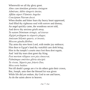Wherewith we all thy glory greet. *Almo cum túmidam gérmine cóniugem Admírans, dúbio tángeris ánxius, Afflátu súperi Fláminis Angelus Concéptum Púerum docet.* When doubts and bitter fears thy heavy heart oppressed, And filled thy righteous soul with sorrow and dismay, An angel quickly came, the wondrous secret told, And drove thy anxious griefs away. *Tu natum Dóminum stringis, ad éxteras Ægýpti prófugum tu séqueris plagas; Amíssum Sólymis quæris, et ínvenis, Miscens gáudia flétibus.*

Thy arms thy new-born Lord, with tender joy embrace; Him then to Egypt's land thy watchful care doth bring; Him in the temple's courts once lost thou dost regain,

And 'mid thy tears dost greet thy King.

*Post mortem réliquos sors pia cónsecrat,*

*Palmámque eméritos glória súscipit:*

*Tu vivens, Súperis par, frúeris Deo,*

*Mira sorte beátior.*

Not till death's pangs are o'er do others gain their crown,

But, Joseph, unto thee the blessed lot was given

While life did yet endure, thy God to see and know,

As do the saints above in heaven.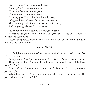*Nobis, summa Trias, parce precántibus, Da Ioseph méritis sídera scándere: Ut tandem líceat nos tibi pérpetim Gratum prómere cánticum. Amen.* Grant us, great Trinity, for Joseph's holy sake, In highest bliss and love, above the stars to reign, That we in joy with him may praise our loving God, And sing our glad eternal strain. Amen.

**8.** Antiphon of the Magnificat: *Exsurgens Ioseph*

*Exsúrgens Ioseph a somno, \* fecit sicut præcépit ei Angelus Dómini, et accépit cónjugem suam.*

Joseph, being raised from sleep, \* did as the Angel of the Lord had bidden him, and took unto him his wife.

#### **Lauds of March 19**

**9.** Antiphons *Ibant, Cum redirent, Non invenientes Iesum, Dixit Mater eius, Descendit Iesus*

*Ibant paréntes Iesu \* per omnes annos in Ierúsalem, in die solémni Paschæ.*

The parents of Jesus \* went to Jerusalem every year, at the feast of the Passover. (Lk 2:42)

*Cum redírent, \* remánsit puer Iesus in Ierúsalem, et non cognovérunt paréntes ejus.*

When they returned \* the Child Jesus tarried behind in Jerusalem, and His parents knew not of it. (Lk 2:43)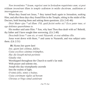*Non inveniéntes \* Iesum, regréssi sunt in Ierúsalem requiréntes eum; et post tríduum invenérunt illum in templo sedéntem in médio doctórum, audiéntem et interrogántem eos.*

When they found not Jesus,  $*$  they turned back again to Jerusalem, seeking Him; and after three days they found Him in the Temple, sitting in the midst of the Doctors, both hearing them and asking them questions. (Lk 2:45-46)

*Dixit Mater ejus \* ad illum: Fili, quid fecísti nobis sic? Ecce pater tuus, et ego doléntes quærebámus te.*

His mother said unto Him: \* Son, why hast Thou thus dealt with us? Behold, thy father and I have sought thee sorrowing. (Lk 2:48)

*Descéndit Iesus \* cum eis, et venit Názareth, et erat súbditus illis.*

Jesus went down with them, \* and came to Nazareth, and was subject unto them. (Lk 2:51)

**10.** Hymn *Iste quem laeti Iste, quem læti cólimus, fidéles, Cuius excélsos cánimus triúmphos, Hac die Ioseph méruit perénnis Gáudia vitæ.* Worshipped throughout the Church to earth's far ends With prayer and solemn rite, Joseph this day triumphantly ascends Into the realms of light. *O nimis felix, nimis o beátus, Cuius extrémam vígiles ad horam Christus et Virgo simul astitérunt*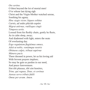*Ore seréno.*

O blest beyond the lot of mortal men! O'er whose last dying sigh Christ and the Virgin-Mother watched serene, Soothing his agony. *Hinc stygis victor, láqueo solútus Carnis, ad sedes plácido sopóre Migrat ætérnas, rutilísque cingit Témpora sertis.* Loosed from his fleshly chain, gently he fleets, As in calm sleep, away; And diademed with light, enters the seats Of everlasting day. *Ergo regnántem flagitémus omnes, Adsit ut nobis, veniámque nostris Obtinens culpis, tríbuat supérnæ Múnera pacis.* There throned in power, let us his loving aid With fervent prayers implore; So may he gain us pardon in our need, And peace forevermore. *Sint tibi plausus, tibi sint honóres, Trine, qui regnas, Deus, et corónas Aureas servo tríbuis fidéli Omne per ævum. Amen.*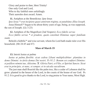Glory and praise to thee, blest Trinity! One only God and Lord, Who to thy faithful ones unfailingly Their aureoles dost award. Amen.

**11.** Antiphon at the Benedictus: *Ipse Iesus*

*Ipse Iesus \* erat incípiens quasi annórum trigínta, ut putabátur, fílius Ioseph.* Jesus Himself \* began to be about thirty years of age, being, as was supposed, the son of Joseph. (Lk 3:23)

**12.** Antiphon of the Magnificat (2nd Vespers): *Ecce fidelis servus*

*Ecce fidélis servus \* et prudens, quem constítuit Dóminus super famíliam suam.*

Behold a faithful \* and wise servant, whom his Lord hath made ruler over His household. (Mt 24:45 and 47)

#### **Mass of March 19**

**13.** Introit *Iustus ut palma*

*Iustus ut palma florébit: sicut cedrus Líbani multiplicábitur: plantátus in domo Dómini: in átriis domus Dei nostri. Ps 91:2: Bonum est confiteri Dómino: et psállere nómini tuo, Altíssime.* ◊. *Glória Patri, et Fílio, et Spirítui Sancto. Sicut erat in princípio, et nunc, et semper, et in sǽcula sæculórum.*

The just man shall flourish like the palm tree, like a cedar of Lebanon shall he grow: planted in the house of the Lord, in the courts of the house of our God. Ps 91:2: It is good to give thanks to the Lord, to sing praise to Your name, Most High.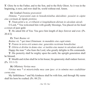◊. Glory be to the Father, and to the Son, and to the Holy Ghost. As it was in the beginning, is now, and ever shall be, world without end. Amen.

**14.** Gradual *Domine prævenisti*

*Dómine, \* prævenísti eum in benedictiónibus dulcédinis: posuísti in cápite eius corónam de lápide pretióso.*

◊. *Vitam pétiit a te, et tribuísti ei longitúdinem diérum in sǽculum sǽculi.*

O Lord, \* You welcomed him with goodly blessings, You placed on his head a crown of pure gold.

**V**. He asked life of You: You gave him length of days forever and ever. (Ps. 20:4-5)

**15.** Tract *Beatus vir*

*Beátus vir, \* qui timet Dóminum: in mandátis eius cupit nimis.*

◊. *Potens in terra erit semen eius: generátio rectórum benedicétur.*

◊. *Glória et divítiæ in domo eius: et iustítia eius manet in sǽculum sǽculi.*

Happy the man \* who fears the Lord, who greatly delights in His commands.

**V**. His posterity shall be mighty upon the earth; the upright generation shall be blessed.

◊. Wealth and riches shall be in his house; his generosity shall endure forever. (Ps. 111:1-3)

**16.** Offertory *Veritas mea*

*Véritas mea \* et misericórdia mea cum ipso: et in nómine meo exaltábitur cornu eius.*

My faithfulness \* and My kindness shall be with him, and through My name shall his horn be exalted. (Ps. 88:25)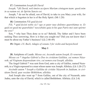**17.** Communion *Ioseph fili David*

*Ioseph, \* fili David, noli timére accípere Maríam cóniugem tuam: quod enim in ea natum est, de Spíritu Sancto est.*

Joseph, \* do not be afraid, son of David, to take to you Mary your wife, for that which is begotten in her is of the Holy Spirit. (Mt 1:20)

**18.** Communion *Fili quid fecisti*

*Fili, \* quid fecísti nobis sic? ego et pater tuus doléntes quærebámus te. Et quid est quod me quærebátis? nesciebátis quia in his quæ Patris mei sunt opórtet me esse?*

Son, \* why hast Thou done so to us? Behold, Thy father and I have been seeking Thee sorrowing. How is it that you sought me? Did you not know that I must be about my Father's business? (Lk 2:48-49)

**19.** Organ: *J.S. Bach, Adagio of sonata 3 for violin and harpsichord*

# **May 1**

**20.** Antiphons of Lauds: *Missus est, Ascendit autem Ioseph, Et venerunt Missus est \* Angelus Gábriel a Deo in civitátem Galilǽæ, cui nomen Názareth, ad Vírginem desponsátam viro, cui nomen erat Ioseph, allelúia.*

The Angel Gabriel \* was sent from God, unto a city of Galilee, named Nazareth, to a Virgin espoused to a man whose name was Joseph. Alleluia. (Lk 1:26-27)

*Ascéndit autem \* Ioseph a Galilǽa de civitáte Názareth in Judǽam, in civitátem David, quæ vocátur Béthlehem, allelúia.*

And Joseph also went up \* from Galilee, out of the city of Nazareth, unto Judea, unto the city of David, which is called Bethlehem. Alleluia. (Lk 2:4)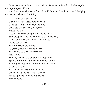*Et venérunt festinántes, \* et invenérunt Maríam, et Ioseph, et Infántem pósitum in præsépio, allelúia.*

And they came with haste, \* and found Mary and Joseph, and the Babe lying in a manger. Alleluia. (Lk 2:16)

**21.** Hymn *Cælitum Ioseph Cǽlitum Ioseph, decus atque nostræ Certa spes vitæ, columénque mundi, Quas tibi læti cánimus, benígnus Súscipe laudes.*

Joseph, the praise and glory of the heavens, Sure pledge of life, and safety of the wide world, As in our joy we sing to thee, in kindness List to our praises.

*Te Sator rerum státuit pudícæ Vírginis sponsum, voluítque Verbi Te patrem dici, dedit et minístrum Esse salútis.*

Thou by the world's Creator wert appointed Spouse of the Virgin: thee he willed to honour Naming thee father of the Word, and guardian Of our salvation.

*Tu Redemptórem stábulo iacéntem, Quem chorus Vatum cécinit futúrum, Aspicis gaudens, humilísque natum Numen adóras.*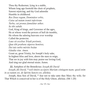Thou thy Redeemer, lying in a stable, Whom long ago foretold the choir of prophets, Sawest rejoicing, and thy God adoredst Humble in childhood.

*Rex Deus regum, Dominátor orbis, Cuius ad nutum tremit inferórum Turba, cui pronus famulátur æther, Se tibi subdit.*

God, King of kings, and Governor of the ages, He at whose word the powers of hell do tremble, He whom the adoring heavens ever worship Called the protector.

*Laus sit excélsæ Tríadi perénnis,*

*Quæ tibi præbens súperos honóres,*

*Det tuis nobis méritis beátæ*

*Gáudia vitæ. Amen.*

Grant us, great Trinity, for Joseph's holy sake, In highest bliss and love, above the stars to reign, That we in joy with him may praise our loving God, And sing our glad eternal strain. Amen.

**22.** Antiphon of the Benedictus: *Ioseph fili David Ioseph, fili David, \* noli timére accípere Maríam cóniugem tuam; quod enim in ea natum est, de Spíritu Sancto est, allelúia.*

Joseph, thou Son of David, \* fear not to take unto thee Mary thy wife; for That Which is conceived in her is of the Holy Ghost, alleluia. (Mt 1:20)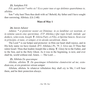**23.** Antiphon *Fili*

*Fili, quid fecísti \* nobis sic? Ecce pater tuus et ego doléntes quærebámus te, allelúia.*

Son \* why hast Thou thus dealt with us? Behold, thy father and I have sought thee sorrowing. Alleluia. (Lk 2:48)

#### **Mass of May 1**

# **24.** Introit *Adiutor*

*Adiútor, \* et protéctor noster est Dóminus: in eo lætábitur cor nostrum, et in nómine sancto eius sperávimus. (T.P. Allelúia.) Qui regis Israël, inténde: qui dedúcis, velut ovem, Ioseph.* ◊. *Glória Patri, et Fílio, et Spirítui Sancto. Sicut erat in princípio, et nunc, et semper, et in sǽcula sæculórum. Amen.*

The Lord \* is our helper and protector: in Him our heart shall rejoice, and in His holy name we have trusted. (P.T. Alleluia.) Ps. 79. 2. Give ear, O Thou that rulest Israel: Thou that leadest Joseph like a sheep.  $\mathbf{V}$ . Glory be to the Father, and to the Son, and to the Holy Ghost. As it was in the beginning, is now, and ever shall be, world without end. Amen. — The Lord …

# **25.** Alleluia *De quacumque*

*Allelúia, allelúia.* ◊. *De quacúmque tribulatióne clamáverint ad me, exáudiam eos, et ero protéctor eórum semper*

Alleluia, alleluia. In whatever tribulation they shall cry to Me, I will hear them, and be their protection always.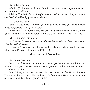**26.** Allelua *Fac nos*

*Allelúia.* ◊. *Fac nos innócuam, Ioseph, decúrrere vitam: sitque tuo semper tuta patrocínio. Allelúia.* 

Alleluia. **V**. Obtain for us, Joseph, grace to lead an innocent life; and may it ever be shielded by thy patronage. Alleluia.

#### **27.** Offertory *Lauda*

*Lauda, \* Jerúsalem, Dóminum: quóniam confortávit seras portárum tuárum: benedíxit fíliis tuis in te. (T.P. Allelúia.)*

Praise \* the Lord, O Jerusalem, because He hath strengthened the bolts of thy gates: He hath blessed thy children within thee. (P.T. Alleluia.) (Ps. 147:12-13)

#### **28.** Communion *Iacob autem*

*Iacob autem \* génuit Ioseph virum Maríæ, de qua natus est Iesus, qui vocátur Christus. (T.P. Allelúia.)*

But Jacob \* begot Joseph, the husband of Mary, of whom was born Jesus, who is called Christ (P.T. Alleluia.) (Mt 1:16)

#### **Mass from the 1974 Gradual**

#### **29.** Introit *Ecce oculi*

*Ecce oculi \* Dómini super timéntes eum, sperántes in misericórdia eius, allelúia: ut erípiat a morte ánimas eórum: quóniam adiútor et protéctor noster est, allelúia, allelúia.*

Behold the eyes \* of the Lord watching over those who fear Him and trust in His mercy, alleluia, who will save their souls from death: He is our strength and our shield, alleluia, alleluia. (Ps 32: 18-20)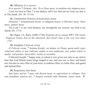**30.** Offertory *In te speravi*

*In te sperávi \* Dómine: dixi: Tu es Deus meus, in mánibus tuis témpora mea.* Lord, my trust in Thee  $*$  is not shaken; still I cry, thou art my God, my fate is in Thy hands. (Ps. 30: 15-16)

# **31.** Communion *Dominus firmamentum meum*

*Dóminus \* firmaméntum meum, et refúgium meum, et liberátor meus: Deus meus, adiútor meus.*

The Lord \* is my rock-fastness, my stronghold, my rescuer: my God is my shield. (Ps. 17:3)

**32.** Organ: J.S. Bach, (1685-1750), *Sonatine de la cantate BWV 106 (Actus Tragicus) Gottes Zeit ist die allerbeste Zeit (God's time is the very best time) - 1707.*

# **33.** Antiphon *O felicem virum*

*O Felícem virum, \* beátum Ióseph, cui datum est Deum, quem multi reges*  voluérunt vidére et non vidérunt, audíre et non audiérunt, non solum vidére et *audíre, sed portáre, deosculári, vestíre et custodíre*

O blessed Joseph, \* happy man, to whom it was given not only to see and to hear that God Whom many kings longed to see, and saw not, to hear, and heard not; but also to carry Him in your arms, to embrace Him, to clothe Him, and guard and defend Him.

# **34.** Responsory *Iam lætus*

*Iam lætus móriar \* quia vidi fáciem tuam, et supérstitem te relínquo. Non sum fraudátus aspéctu tuo: \* Insuper osténdit mihi Dóminus semen tuum.* ◊.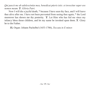*Qui pascit me ab adolescéntiæ mea, benedícat púeris istis: et invocétur super eos nomen meum.* ◊. *Glória Patri.*

Now I will die a joyful death, \* because I have seen thy face, and I will leave thee alive after me. I have not been prevented from seeing thee again; \* the Lord moreover has shown me thy posterity. **V**. Let Him who has fed me since my infancy bless those children, and let my name be invoked upon them.  $\mathbb{V}$ . Glory be to the Father.

**35.** Organ: Johann Pachelbel (1653-1706), *Toccata in E minor.*